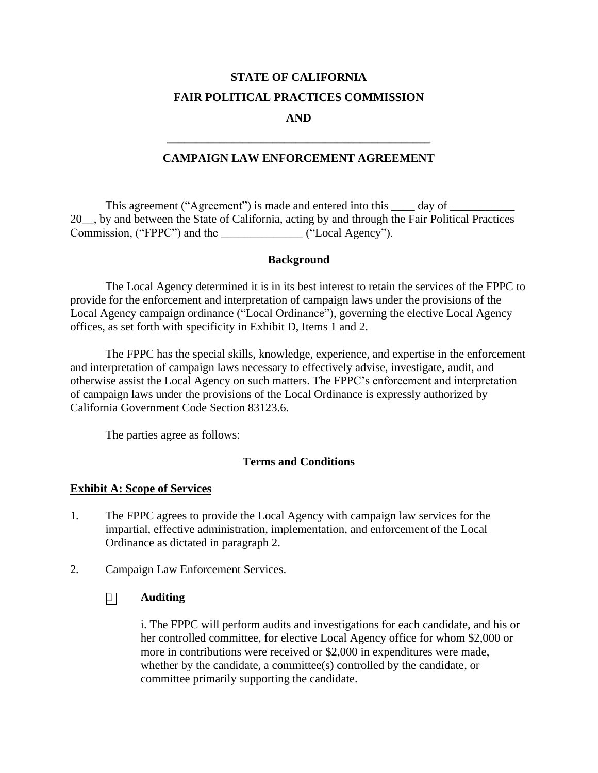# **STATE OF CALIFORNIA FAIR POLITICAL PRACTICES COMMISSION AND**

## **CAMPAIGN LAW ENFORCEMENT AGREEMENT**

**\_\_\_\_\_\_\_\_\_\_\_\_\_\_\_\_\_\_\_\_\_\_\_\_\_\_\_\_\_\_\_\_\_\_\_\_\_\_\_\_\_\_\_\_\_**

This agreement ("Agreement") is made and entered into this  $\_\_\_day$  of 20\_\_, by and between the State of California, acting by and through the Fair Political Practices Commission, ("FPPC") and the \_\_\_\_\_\_\_\_\_\_\_\_\_\_ ("Local Agency").

#### **Background**

The Local Agency determined it is in its best interest to retain the services of the FPPC to provide for the enforcement and interpretation of campaign laws under the provisions of the Local Agency campaign ordinance ("Local Ordinance"), governing the elective Local Agency offices, as set forth with specificity in Exhibit D, Items 1 and 2.

The FPPC has the special skills, knowledge, experience, and expertise in the enforcement and interpretation of campaign laws necessary to effectively advise, investigate, audit, and otherwise assist the Local Agency on such matters. The FPPC's enforcement and interpretation of campaign laws under the provisions of the Local Ordinance is expressly authorized by California Government Code Section 83123.6.

The parties agree as follows:

## **Terms and Conditions**

## **Exhibit A: Scope of Services**

- 1. The FPPC agrees to provide the Local Agency with campaign law services for the impartial, effective administration, implementation, and enforcement of the Local Ordinance as dictated in paragraph 2.
- 2. Campaign Law Enforcement Services.

## **Auditing**

i. The FPPC will perform audits and investigations for each candidate, and his or her controlled committee, for elective Local Agency office for whom \$2,000 or more in contributions were received or \$2,000 in expenditures were made, whether by the candidate, a committee(s) controlled by the candidate, or committee primarily supporting the candidate.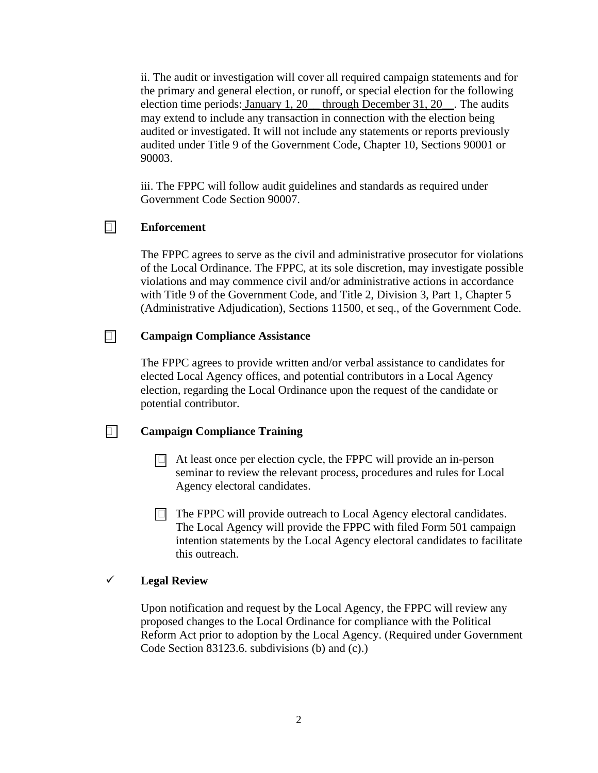ii. The audit or investigation will cover all required campaign statements and for the primary and general election, or runoff, or special election for the following election time periods: January 1, 20\_\_ through December 31, 20\_\_. The audits may extend to include any transaction in connection with the election being audited or investigated. It will not include any statements or reports previously audited under Title 9 of the Government Code, Chapter 10, Sections 90001 or 90003.

iii. The FPPC will follow audit guidelines and standards as required under Government Code Section 90007.

# **Enforcement**

The FPPC agrees to serve as the civil and administrative prosecutor for violations of the Local Ordinance. The FPPC, at its sole discretion, may investigate possible violations and may commence civil and/or administrative actions in accordance with Title 9 of the Government Code, and Title 2, Division 3, Part 1, Chapter 5 (Administrative Adjudication), Sections 11500, et seq., of the Government Code.

#### **Campaign Compliance Assistance**

The FPPC agrees to provide written and/or verbal assistance to candidates for elected Local Agency offices, and potential contributors in a Local Agency election, regarding the Local Ordinance upon the request of the candidate or potential contributor.

#### **Campaign Compliance Training**

- $\Box$  At least once per election cycle, the FPPC will provide an in-person seminar to review the relevant process, procedures and rules for Local Agency electoral candidates.
- $\Box$  The FPPC will provide outreach to Local Agency electoral candidates. The Local Agency will provide the FPPC with filed Form 501 campaign intention statements by the Local Agency electoral candidates to facilitate this outreach.

#### ✓ **Legal Review**

Upon notification and request by the Local Agency, the FPPC will review any proposed changes to the Local Ordinance for compliance with the Political Reform Act prior to adoption by the Local Agency. (Required under Government Code Section 83123.6. subdivisions (b) and (c).)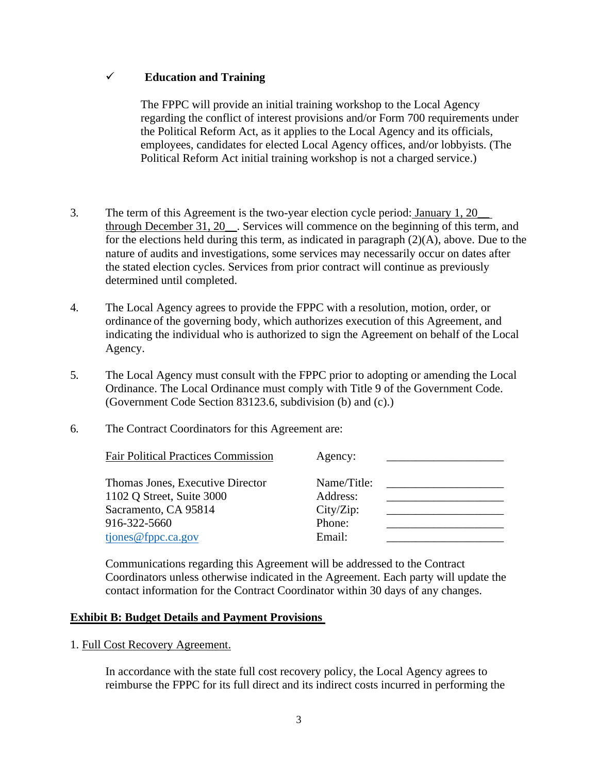## ✓ **Education and Training**

The FPPC will provide an initial training workshop to the Local Agency regarding the conflict of interest provisions and/or Form 700 requirements under the Political Reform Act, as it applies to the Local Agency and its officials, employees, candidates for elected Local Agency offices, and/or lobbyists. (The Political Reform Act initial training workshop is not a charged service.)

- 3. The term of this Agreement is the two-year election cycle period: January 1, 20\_\_ through December 31, 20 . Services will commence on the beginning of this term, and for the elections held during this term, as indicated in paragraph (2)(A), above. Due to the nature of audits and investigations, some services may necessarily occur on dates after the stated election cycles. Services from prior contract will continue as previously determined until completed.
- 4. The Local Agency agrees to provide the FPPC with a resolution, motion, order, or ordinance of the governing body, which authorizes execution of this Agreement, and indicating the individual who is authorized to sign the Agreement on behalf of the Local Agency.
- 5. The Local Agency must consult with the FPPC prior to adopting or amending the Local Ordinance. The Local Ordinance must comply with Title 9 of the Government Code. (Government Code Section 83123.6, subdivision (b) and (c).)
- 6. The Contract Coordinators for this Agreement are:

| <b>Fair Political Practices Commission</b> | Agency:     |
|--------------------------------------------|-------------|
| Thomas Jones, Executive Director           | Name/Title: |
| 1102 Q Street, Suite 3000                  | Address:    |
| Sacramento, CA 95814                       | City/Zip:   |
| 916-322-5660                               | Phone:      |
| tiones@fppc.ca.gov                         | Email:      |

Communications regarding this Agreement will be addressed to the Contract Coordinators unless otherwise indicated in the Agreement. Each party will update the contact information for the Contract Coordinator within 30 days of any changes.

## **Exhibit B: Budget Details and Payment Provisions**

## 1. Full Cost Recovery Agreement.

In accordance with the state full cost recovery policy, the Local Agency agrees to reimburse the FPPC for its full direct and its indirect costs incurred in performing the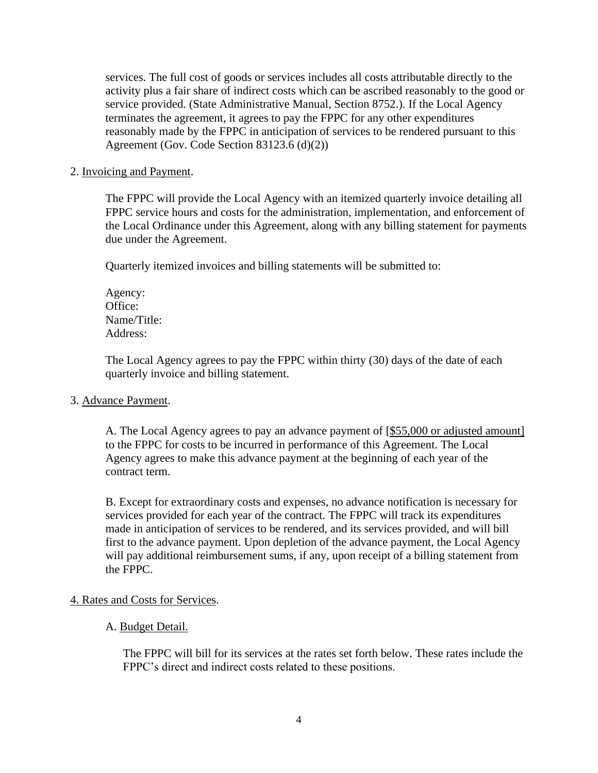services. The full cost of goods or services includes all costs attributable directly to the activity plus a fair share of indirect costs which can be ascribed reasonably to the good or service provided. (State Administrative Manual, Section 8752.). If the Local Agency terminates the agreement, it agrees to pay the FPPC for any other expenditures reasonably made by the FPPC in anticipation of services to be rendered pursuant to this Agreement (Gov. Code Section 83123.6 (d)(2))

#### 2. Invoicing and Payment.

The FPPC will provide the Local Agency with an itemized quarterly invoice detailing all FPPC service hours and costs for the administration, implementation, and enforcement of the Local Ordinance under this Agreement, along with any billing statement for payments due under the Agreement.

Quarterly itemized invoices and billing statements will be submitted to:

Agency: Office: Name/Title: Address:

The Local Agency agrees to pay the FPPC within thirty (30) days of the date of each quarterly invoice and billing statement.

## 3. Advance Payment.

A. The Local Agency agrees to pay an advance payment of [\$55,000 or adjusted amount] to the FPPC for costs to be incurred in performance of this Agreement. The Local Agency agrees to make this advance payment at the beginning of each year of the contract term.

B. Except for extraordinary costs and expenses, no advance notification is necessary for services provided for each year of the contract. The FPPC will track its expenditures made in anticipation of services to be rendered, and its services provided, and will bill first to the advance payment. Upon depletion of the advance payment, the Local Agency will pay additional reimbursement sums, if any, upon receipt of a billing statement from the FPPC.

## 4. Rates and Costs for Services.

## A. Budget Detail.

The FPPC will bill for its services at the rates set forth below. These rates include the FPPC's direct and indirect costs related to these positions.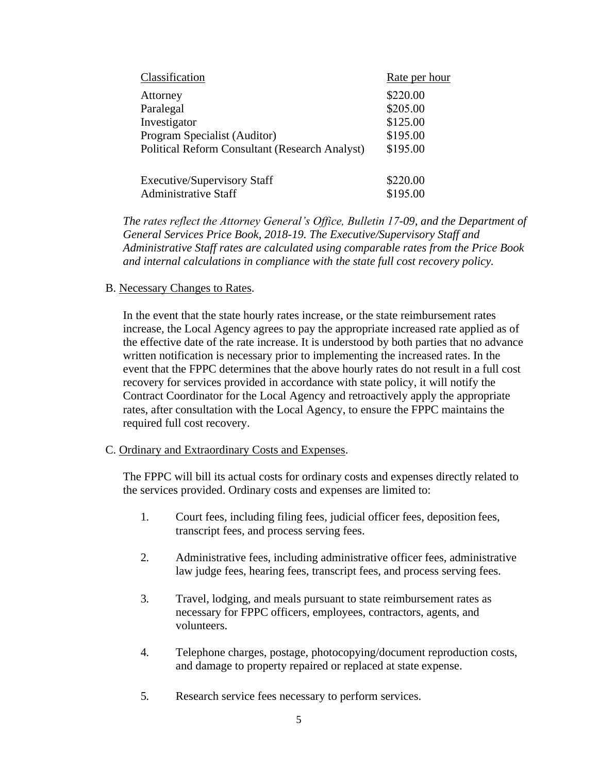| Classification                                        | Rate per hour |
|-------------------------------------------------------|---------------|
| Attorney                                              | \$220.00      |
| Paralegal                                             | \$205.00      |
| Investigator                                          | \$125.00      |
| Program Specialist (Auditor)                          | \$195.00      |
| <b>Political Reform Consultant (Research Analyst)</b> | \$195.00      |
| <b>Executive/Supervisory Staff</b>                    | \$220.00      |
| <b>Administrative Staff</b>                           | \$195.00      |

*The rates reflect the Attorney General's Office, Bulletin 17-09, and the Department of General Services Price Book, 2018-19. The Executive/Supervisory Staff and Administrative Staff rates are calculated using comparable rates from the Price Book and internal calculations in compliance with the state full cost recovery policy.*

#### B. Necessary Changes to Rates.

In the event that the state hourly rates increase, or the state reimbursement rates increase, the Local Agency agrees to pay the appropriate increased rate applied as of the effective date of the rate increase. It is understood by both parties that no advance written notification is necessary prior to implementing the increased rates. In the event that the FPPC determines that the above hourly rates do not result in a full cost recovery for services provided in accordance with state policy, it will notify the Contract Coordinator for the Local Agency and retroactively apply the appropriate rates, after consultation with the Local Agency, to ensure the FPPC maintains the required full cost recovery.

## C. Ordinary and Extraordinary Costs and Expenses.

The FPPC will bill its actual costs for ordinary costs and expenses directly related to the services provided. Ordinary costs and expenses are limited to:

- 1. Court fees, including filing fees, judicial officer fees, deposition fees, transcript fees, and process serving fees.
- 2. Administrative fees, including administrative officer fees, administrative law judge fees, hearing fees, transcript fees, and process serving fees.
- 3. Travel, lodging, and meals pursuant to state reimbursement rates as necessary for FPPC officers, employees, contractors, agents, and volunteers.
- 4. Telephone charges, postage, photocopying/document reproduction costs, and damage to property repaired or replaced at state expense.
- 5. Research service fees necessary to perform services.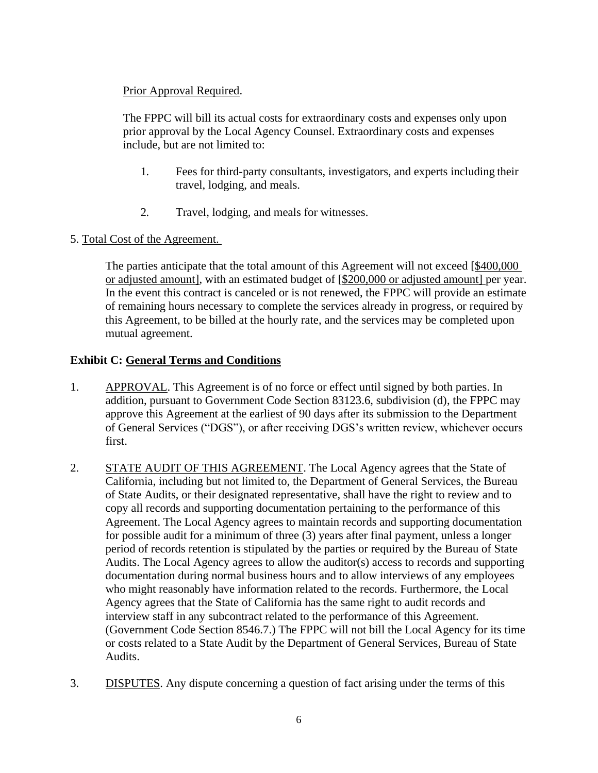# Prior Approval Required.

The FPPC will bill its actual costs for extraordinary costs and expenses only upon prior approval by the Local Agency Counsel. Extraordinary costs and expenses include, but are not limited to:

- 1. Fees for third-party consultants, investigators, and experts including their travel, lodging, and meals.
- 2. Travel, lodging, and meals for witnesses.
- 5. Total Cost of the Agreement.

The parties anticipate that the total amount of this Agreement will not exceed [\$400,000 or adjusted amount], with an estimated budget of [\$200,000 or adjusted amount] per year. In the event this contract is canceled or is not renewed, the FPPC will provide an estimate of remaining hours necessary to complete the services already in progress, or required by this Agreement, to be billed at the hourly rate, and the services may be completed upon mutual agreement.

# **Exhibit C: General Terms and Conditions**

- 1. APPROVAL. This Agreement is of no force or effect until signed by both parties. In addition, pursuant to Government Code Section 83123.6, subdivision (d), the FPPC may approve this Agreement at the earliest of 90 days after its submission to the Department of General Services ("DGS"), or after receiving DGS's written review, whichever occurs first.
- 2. STATE AUDIT OF THIS AGREEMENT. The Local Agency agrees that the State of California, including but not limited to, the Department of General Services, the Bureau of State Audits, or their designated representative, shall have the right to review and to copy all records and supporting documentation pertaining to the performance of this Agreement. The Local Agency agrees to maintain records and supporting documentation for possible audit for a minimum of three (3) years after final payment, unless a longer period of records retention is stipulated by the parties or required by the Bureau of State Audits. The Local Agency agrees to allow the auditor(s) access to records and supporting documentation during normal business hours and to allow interviews of any employees who might reasonably have information related to the records. Furthermore, the Local Agency agrees that the State of California has the same right to audit records and interview staff in any subcontract related to the performance of this Agreement. (Government Code Section 8546.7.) The FPPC will not bill the Local Agency for its time or costs related to a State Audit by the Department of General Services, Bureau of State Audits.
- 3. DISPUTES. Any dispute concerning a question of fact arising under the terms of this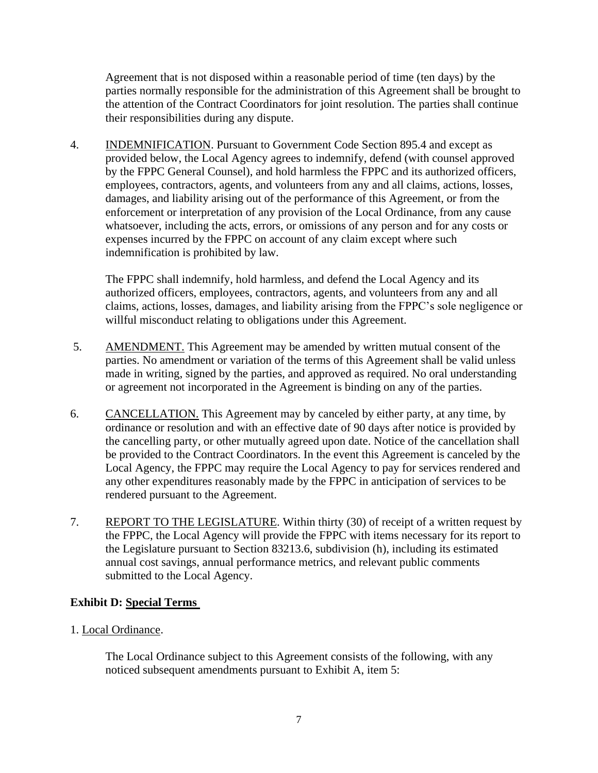Agreement that is not disposed within a reasonable period of time (ten days) by the parties normally responsible for the administration of this Agreement shall be brought to the attention of the Contract Coordinators for joint resolution. The parties shall continue their responsibilities during any dispute.

4. INDEMNIFICATION. Pursuant to Government Code Section 895.4 and except as provided below, the Local Agency agrees to indemnify, defend (with counsel approved by the FPPC General Counsel), and hold harmless the FPPC and its authorized officers, employees, contractors, agents, and volunteers from any and all claims, actions, losses, damages, and liability arising out of the performance of this Agreement, or from the enforcement or interpretation of any provision of the Local Ordinance, from any cause whatsoever, including the acts, errors, or omissions of any person and for any costs or expenses incurred by the FPPC on account of any claim except where such indemnification is prohibited by law.

The FPPC shall indemnify, hold harmless, and defend the Local Agency and its authorized officers, employees, contractors, agents, and volunteers from any and all claims, actions, losses, damages, and liability arising from the FPPC's sole negligence or willful misconduct relating to obligations under this Agreement.

- 5. AMENDMENT. This Agreement may be amended by written mutual consent of the parties. No amendment or variation of the terms of this Agreement shall be valid unless made in writing, signed by the parties, and approved as required. No oral understanding or agreement not incorporated in the Agreement is binding on any of the parties.
- 6. CANCELLATION. This Agreement may by canceled by either party, at any time, by ordinance or resolution and with an effective date of 90 days after notice is provided by the cancelling party, or other mutually agreed upon date. Notice of the cancellation shall be provided to the Contract Coordinators. In the event this Agreement is canceled by the Local Agency, the FPPC may require the Local Agency to pay for services rendered and any other expenditures reasonably made by the FPPC in anticipation of services to be rendered pursuant to the Agreement.
- 7. REPORT TO THE LEGISLATURE. Within thirty (30) of receipt of a written request by the FPPC, the Local Agency will provide the FPPC with items necessary for its report to the Legislature pursuant to Section 83213.6, subdivision (h), including its estimated annual cost savings, annual performance metrics, and relevant public comments submitted to the Local Agency.

# **Exhibit D: Special Terms**

1. Local Ordinance.

The Local Ordinance subject to this Agreement consists of the following, with any noticed subsequent amendments pursuant to Exhibit A, item 5: